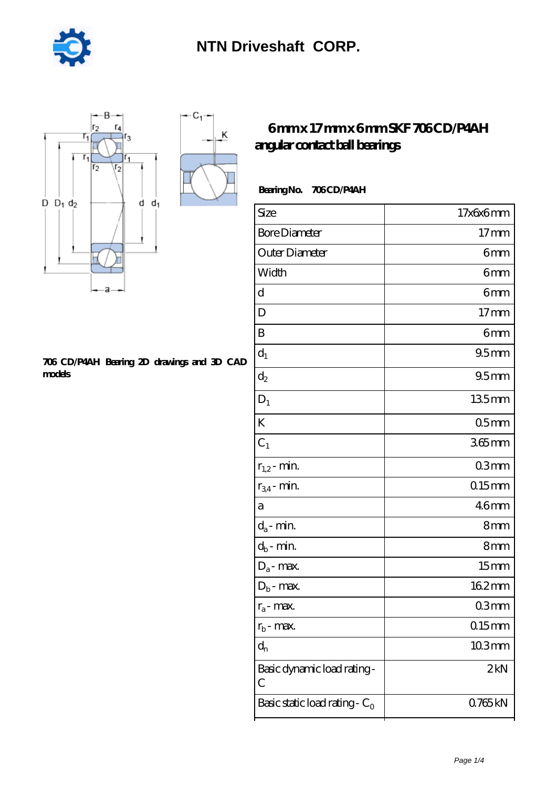

K



#### **[706 CD/P4AH Bearing 2D drawings and 3D CAD](https://m.stopmeletspray.com/pic-44226.html) [models](https://m.stopmeletspray.com/pic-44226.html)**

### **[6 mm x 17 mm x 6 mm SKF 706 CD/P4AH](https://m.stopmeletspray.com/bs-44226-skf-706-cd-p4ah-angular-contact-ball-bearings.html) [angular contact ball bearings](https://m.stopmeletspray.com/bs-44226-skf-706-cd-p4ah-angular-contact-ball-bearings.html)**

### Bearing No. 706 CD/P4AH

| Size                             | 17x6x6mm         |
|----------------------------------|------------------|
| <b>Bore Diameter</b>             | 17 <sub>mm</sub> |
| Outer Diameter                   | 6mm              |
| Width                            | 6mm              |
| d                                | 6mm              |
| D                                | 17 <sub>mm</sub> |
| B                                | 6mm              |
| $d_1$                            | 95 <sub>mm</sub> |
| $d_2$                            | 95mm             |
| $D_1$                            | $135$ mm         |
| K                                | 05 <sub>mm</sub> |
| $C_1$                            | $365$ mm         |
| $r_{1,2}$ - min.                 | 03mm             |
| $r_{34}$ - min.                  | $0.15$ mm        |
| a                                | 46 <sub>mm</sub> |
| $d_a$ - min.                     | 8mm              |
| $d_b$ - min.                     | 8mm              |
| $D_a$ - max.                     | 15 <sub>mm</sub> |
| $D_b$ - max.                     | 162mm            |
| $r_a$ - max.                     | 03mm             |
| $r_{b}$ - max.                   | 015mm            |
| $d_n$                            | $103$ mm         |
| Basic dynamic load rating-<br>C  | 2kN              |
| Basic static load rating - $C_0$ | 0765kN           |
|                                  |                  |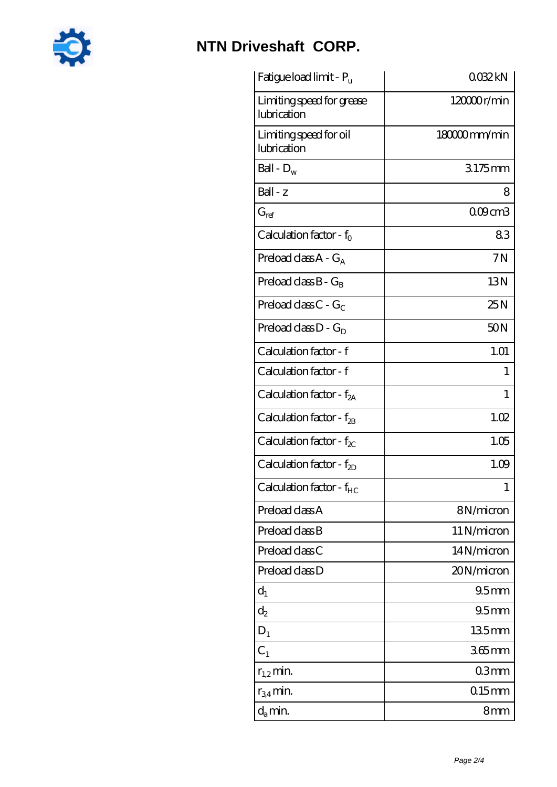

## **[NTN Driveshaft CORP.](https://m.stopmeletspray.com)**

| Fatigue load limit - Pu                  | 0032kN           |
|------------------------------------------|------------------|
| Limiting speed for grease<br>lubrication | $12000$ r/min    |
| Limiting speed for oil<br>lubrication    | 180000mm/min     |
| Ball - $D_w$                             | 3175mm           |
| Ball - z                                 | 8                |
| $G_{ref}$                                | 009cm3           |
| Calculation factor - $f_0$               | 83               |
| Preload class $A - G_A$                  | 7N               |
| Preload class $B - G_B$                  | 13N              |
| Preload class $C$ - $G_C$                | 25N              |
| Preload class $D - G_D$                  | 50N              |
| Calculation factor - f                   | 1.01             |
| Calculation factor - f                   | 1                |
| Calculation factor - f <sub>2A</sub>     | $\mathbf{1}$     |
| Calculation factor - $f_{2B}$            | 1.02             |
| Calculation factor - $f_{\chi}$          | 1.05             |
| Calculation factor - $f_{2D}$            | 1.09             |
| Calculation factor - f <sub>HC</sub>     | 1                |
| Preload class A                          | 8N/micron        |
| Preload class B                          | 11 N/micron      |
| Preload class C                          | 14N/micron       |
| Preload class D                          | 20N/micron       |
| $d_1$                                    | 95 <sub>mm</sub> |
| $d_2$                                    | 95 <sub>mm</sub> |
| $D_1$                                    | 135mm            |
| $C_1$                                    | 365mm            |
| $r_{1,2}$ min.                           | 03 <sub>mm</sub> |
| $r_{34}$ min.                            | $0.15$ mm        |
| $d_a$ min.                               | 8mm              |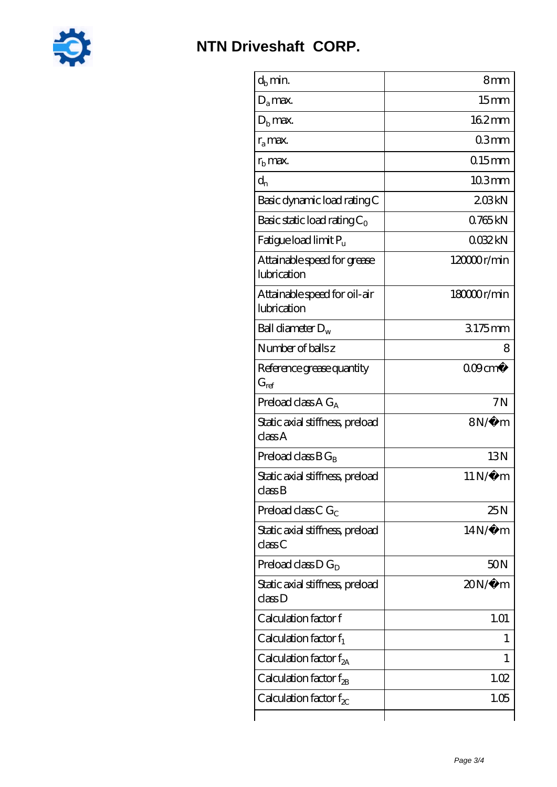

| $d_h$ min.                                  | 8 <sub>mm</sub>   |
|---------------------------------------------|-------------------|
| $D_a$ max.                                  | 15 <sub>mm</sub>  |
| $D_{b}$ max.                                | 162mm             |
| $r_a$ max.                                  | 03mm              |
| $rb$ max.                                   | $0.15$ mm         |
| $d_{n}$                                     | 103mm             |
| Basic dynamic load rating C                 | 208kN             |
| Basic static load rating $C_0$              | 0.765kN           |
| Fatigue load limit P <sub>u</sub>           | 0032kN            |
| Attainable speed for grease<br>lubrication  | 120000r/min       |
| Attainable speed for oil-air<br>lubrication | 18000r/min        |
| Ball diameter $D_w$                         | 3175mm            |
| Number of balls z                           | 8                 |
| Reference grease quantity<br>$G_{ref}$      | $000 \text{cm}^3$ |
| Preload class $AG_A$                        | 7N                |
| Static axial stiffness, preload<br>classA   | $8N/\mu$ m        |
| Preload class $BG_B$                        | 13N               |
| Static axial stiffness, preload<br>classB   | $11N/\mu$ m       |
| Preload class C $G_C$                       | 25N               |
| Static axial stiffness, preload<br>classC   | $14N/\mu$ m       |
| Preload class $D G_D$                       | 50 <sub>N</sub>   |
| Static axial stiffness, preload<br>classD   | $20N/\mu$ m       |
| Calculation factor f                        | 1.01              |
| Calculation factor $f_1$                    | 1                 |
| C alculation factor $f_{2A}$                | 1                 |
| Calculation factor $f_{\rm 2B}$             | 1.02              |
| Calculation factor f <sub>x</sub>           | 1.05              |
|                                             |                   |